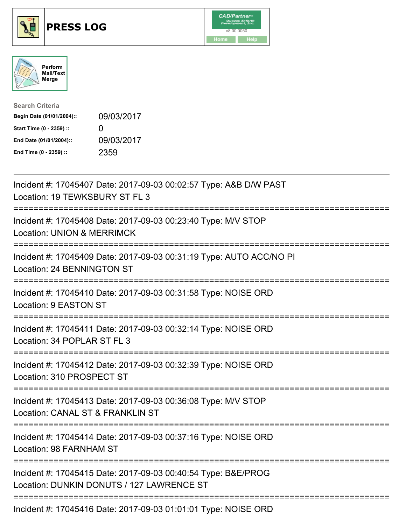





| <b>Search Criteria</b>    |                   |
|---------------------------|-------------------|
| Begin Date (01/01/2004):: | 09/03/2017        |
| Start Time (0 - 2359) ::  | $\mathbf{\Omega}$ |
| End Date (01/01/2004)::   | 09/03/2017        |
| End Time (0 - 2359) ::    | 2359              |

| Incident #: 17045407 Date: 2017-09-03 00:02:57 Type: A&B D/W PAST<br>Location: 19 TEWKSBURY ST FL 3                      |
|--------------------------------------------------------------------------------------------------------------------------|
| Incident #: 17045408 Date: 2017-09-03 00:23:40 Type: M/V STOP<br><b>Location: UNION &amp; MERRIMCK</b>                   |
| Incident #: 17045409 Date: 2017-09-03 00:31:19 Type: AUTO ACC/NO PI<br>Location: 24 BENNINGTON ST                        |
| Incident #: 17045410 Date: 2017-09-03 00:31:58 Type: NOISE ORD<br>Location: 9 EASTON ST                                  |
| Incident #: 17045411 Date: 2017-09-03 00:32:14 Type: NOISE ORD<br>Location: 34 POPLAR ST FL 3<br>;===================    |
| Incident #: 17045412 Date: 2017-09-03 00:32:39 Type: NOISE ORD<br>Location: 310 PROSPECT ST<br>===================       |
| Incident #: 17045413 Date: 2017-09-03 00:36:08 Type: M/V STOP<br>Location: CANAL ST & FRANKLIN ST                        |
| ;==========================<br>Incident #: 17045414 Date: 2017-09-03 00:37:16 Type: NOISE ORD<br>Location: 98 FARNHAM ST |
| Incident #: 17045415 Date: 2017-09-03 00:40:54 Type: B&E/PROG<br>Location: DUNKIN DONUTS / 127 LAWRENCE ST               |
| Incident #: 17045416 Date: 2017-09-03 01:01:01 Type: NOISE ORD                                                           |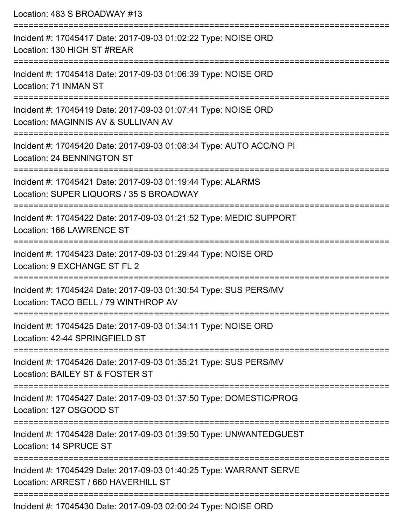Location: 483 S BROADWAY #13 =========================================================================== Incident #: 17045417 Date: 2017-09-03 01:02:22 Type: NOISE ORD Location: 130 HIGH ST #REAR =========================================================================== Incident #: 17045418 Date: 2017-09-03 01:06:39 Type: NOISE ORD Location: 71 INMAN ST =========================================================================== Incident #: 17045419 Date: 2017-09-03 01:07:41 Type: NOISE ORD Location: MAGINNIS AV & SULLIVAN AV =========================================================================== Incident #: 17045420 Date: 2017-09-03 01:08:34 Type: AUTO ACC/NO PI Location: 24 BENNINGTON ST =========================================================================== Incident #: 17045421 Date: 2017-09-03 01:19:44 Type: ALARMS Location: SUPER LIQUORS / 35 S BROADWAY =========================================================================== Incident #: 17045422 Date: 2017-09-03 01:21:52 Type: MEDIC SUPPORT Location: 166 LAWRENCE ST =========================================================================== Incident #: 17045423 Date: 2017-09-03 01:29:44 Type: NOISE ORD Location: 9 EXCHANGE ST FL 2 =========================================================================== Incident #: 17045424 Date: 2017-09-03 01:30:54 Type: SUS PERS/MV Location: TACO BELL / 79 WINTHROP AV =========================================================================== Incident #: 17045425 Date: 2017-09-03 01:34:11 Type: NOISE ORD Location: 42-44 SPRINGFIFLD ST =========================================================================== Incident #: 17045426 Date: 2017-09-03 01:35:21 Type: SUS PERS/MV Location: BAILEY ST & FOSTER ST =========================================================================== Incident #: 17045427 Date: 2017-09-03 01:37:50 Type: DOMESTIC/PROG Location: 127 OSGOOD ST =========================================================================== Incident #: 17045428 Date: 2017-09-03 01:39:50 Type: UNWANTEDGUEST Location: 14 SPRUCE ST =========================================================================== Incident #: 17045429 Date: 2017-09-03 01:40:25 Type: WARRANT SERVE Location: ARREST / 660 HAVERHILL ST =========================================================================== Incident #: 17045430 Date: 2017-09-03 02:00:24 Type: NOISE ORD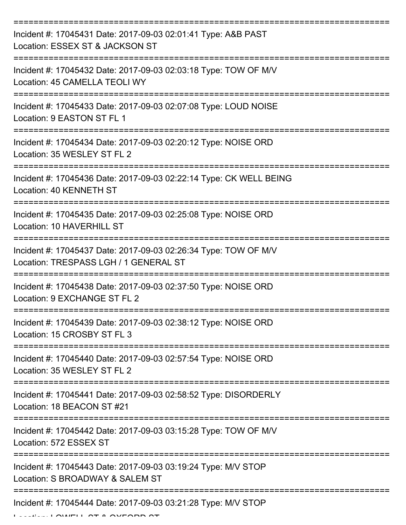| Incident #: 17045431 Date: 2017-09-03 02:01:41 Type: A&B PAST<br>Location: ESSEX ST & JACKSON ST         |
|----------------------------------------------------------------------------------------------------------|
| Incident #: 17045432 Date: 2017-09-03 02:03:18 Type: TOW OF M/V<br>Location: 45 CAMELLA TEOLI WY         |
| Incident #: 17045433 Date: 2017-09-03 02:07:08 Type: LOUD NOISE<br>Location: 9 EASTON ST FL 1            |
| Incident #: 17045434 Date: 2017-09-03 02:20:12 Type: NOISE ORD<br>Location: 35 WESLEY ST FL 2            |
| Incident #: 17045436 Date: 2017-09-03 02:22:14 Type: CK WELL BEING<br>Location: 40 KENNETH ST            |
| Incident #: 17045435 Date: 2017-09-03 02:25:08 Type: NOISE ORD<br>Location: 10 HAVERHILL ST              |
| Incident #: 17045437 Date: 2017-09-03 02:26:34 Type: TOW OF M/V<br>Location: TRESPASS LGH / 1 GENERAL ST |
| Incident #: 17045438 Date: 2017-09-03 02:37:50 Type: NOISE ORD<br>Location: 9 EXCHANGE ST FL 2           |
| Incident #: 17045439 Date: 2017-09-03 02:38:12 Type: NOISE ORD<br>Location: 15 CROSBY ST FL 3            |
| Incident #: 17045440 Date: 2017-09-03 02:57:54 Type: NOISE ORD<br>Location: 35 WESLEY ST FL 2            |
| Incident #: 17045441 Date: 2017-09-03 02:58:52 Type: DISORDERLY<br>Location: 18 BEACON ST #21            |
| Incident #: 17045442 Date: 2017-09-03 03:15:28 Type: TOW OF M/V<br>Location: 572 ESSEX ST                |
| Incident #: 17045443 Date: 2017-09-03 03:19:24 Type: M/V STOP<br>Location: S BROADWAY & SALEM ST         |
| Incident #: 17045444 Date: 2017-09-03 03:21:28 Type: M/V STOP                                            |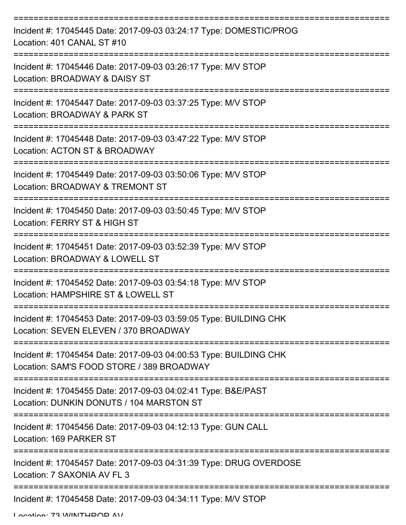| Incident #: 17045445 Date: 2017-09-03 03:24:17 Type: DOMESTIC/PROG<br>Location: 401 CANAL ST #10               |
|----------------------------------------------------------------------------------------------------------------|
| Incident #: 17045446 Date: 2017-09-03 03:26:17 Type: M/V STOP<br>Location: BROADWAY & DAISY ST                 |
| Incident #: 17045447 Date: 2017-09-03 03:37:25 Type: M/V STOP<br>Location: BROADWAY & PARK ST                  |
| Incident #: 17045448 Date: 2017-09-03 03:47:22 Type: M/V STOP<br>Location: ACTON ST & BROADWAY                 |
| Incident #: 17045449 Date: 2017-09-03 03:50:06 Type: M/V STOP<br>Location: BROADWAY & TREMONT ST               |
| Incident #: 17045450 Date: 2017-09-03 03:50:45 Type: M/V STOP<br>Location: FERRY ST & HIGH ST                  |
| Incident #: 17045451 Date: 2017-09-03 03:52:39 Type: M/V STOP<br>Location: BROADWAY & LOWELL ST                |
| Incident #: 17045452 Date: 2017-09-03 03:54:18 Type: M/V STOP<br>Location: HAMPSHIRE ST & LOWELL ST            |
| Incident #: 17045453 Date: 2017-09-03 03:59:05 Type: BUILDING CHK<br>Location: SEVEN ELEVEN / 370 BROADWAY     |
| Incident #: 17045454 Date: 2017-09-03 04:00:53 Type: BUILDING CHK<br>Location: SAM'S FOOD STORE / 389 BROADWAY |
| Incident #: 17045455 Date: 2017-09-03 04:02:41 Type: B&E/PAST<br>Location: DUNKIN DONUTS / 104 MARSTON ST      |
| Incident #: 17045456 Date: 2017-09-03 04:12:13 Type: GUN CALL<br>Location: 169 PARKER ST                       |
| Incident #: 17045457 Date: 2017-09-03 04:31:39 Type: DRUG OVERDOSE<br>Location: 7 SAXONIA AV FL 3              |
| Incident #: 17045458 Date: 2017-09-03 04:34:11 Type: M/V STOP                                                  |

Location: 73 MINITHDOD AV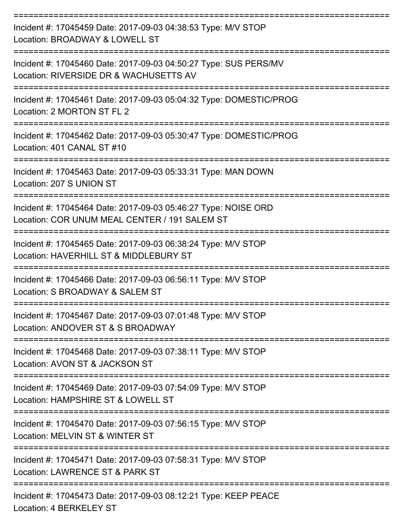| Incident #: 17045459 Date: 2017-09-03 04:38:53 Type: M/V STOP<br>Location: BROADWAY & LOWELL ST                 |
|-----------------------------------------------------------------------------------------------------------------|
| Incident #: 17045460 Date: 2017-09-03 04:50:27 Type: SUS PERS/MV<br>Location: RIVERSIDE DR & WACHUSETTS AV      |
| Incident #: 17045461 Date: 2017-09-03 05:04:32 Type: DOMESTIC/PROG<br>Location: 2 MORTON ST FL 2                |
| Incident #: 17045462 Date: 2017-09-03 05:30:47 Type: DOMESTIC/PROG<br>Location: 401 CANAL ST #10                |
| Incident #: 17045463 Date: 2017-09-03 05:33:31 Type: MAN DOWN<br>Location: 207 S UNION ST                       |
| Incident #: 17045464 Date: 2017-09-03 05:46:27 Type: NOISE ORD<br>Location: COR UNUM MEAL CENTER / 191 SALEM ST |
| Incident #: 17045465 Date: 2017-09-03 06:38:24 Type: M/V STOP<br>Location: HAVERHILL ST & MIDDLEBURY ST         |
| Incident #: 17045466 Date: 2017-09-03 06:56:11 Type: M/V STOP<br>Location: S BROADWAY & SALEM ST                |
| Incident #: 17045467 Date: 2017-09-03 07:01:48 Type: M/V STOP<br>Location: ANDOVER ST & S BROADWAY              |
| Incident #: 17045468 Date: 2017-09-03 07:38:11 Type: M/V STOP<br>Location: AVON ST & JACKSON ST                 |
| Incident #: 17045469 Date: 2017-09-03 07:54:09 Type: M/V STOP<br>Location: HAMPSHIRE ST & LOWELL ST             |
| Incident #: 17045470 Date: 2017-09-03 07:56:15 Type: M/V STOP<br>Location: MELVIN ST & WINTER ST                |
| Incident #: 17045471 Date: 2017-09-03 07:58:31 Type: M/V STOP<br>Location: LAWRENCE ST & PARK ST                |
| Incident #: 17045473 Date: 2017-09-03 08:12:21 Type: KEEP PEACE                                                 |

Location: 4 BERKELEY ST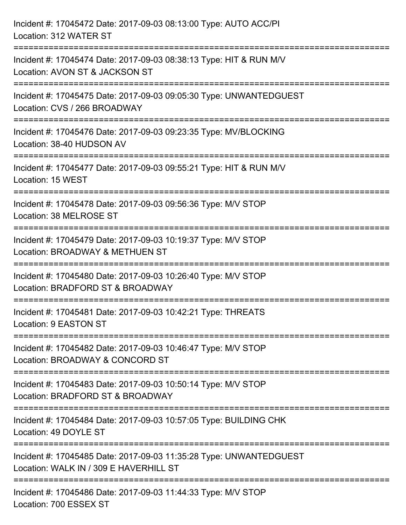| Incident #: 17045472 Date: 2017-09-03 08:13:00 Type: AUTO ACC/PI<br>Location: 312 WATER ST                                                                          |
|---------------------------------------------------------------------------------------------------------------------------------------------------------------------|
| Incident #: 17045474 Date: 2017-09-03 08:38:13 Type: HIT & RUN M/V<br>Location: AVON ST & JACKSON ST                                                                |
| Incident #: 17045475 Date: 2017-09-03 09:05:30 Type: UNWANTEDGUEST<br>Location: CVS / 266 BROADWAY<br>=========================                                     |
| Incident #: 17045476 Date: 2017-09-03 09:23:35 Type: MV/BLOCKING<br>Location: 38-40 HUDSON AV                                                                       |
| Incident #: 17045477 Date: 2017-09-03 09:55:21 Type: HIT & RUN M/V<br>Location: 15 WEST<br>================================<br>------------------------------------ |
| Incident #: 17045478 Date: 2017-09-03 09:56:36 Type: M/V STOP<br>Location: 38 MELROSE ST                                                                            |
| Incident #: 17045479 Date: 2017-09-03 10:19:37 Type: M/V STOP<br>Location: BROADWAY & METHUEN ST                                                                    |
| Incident #: 17045480 Date: 2017-09-03 10:26:40 Type: M/V STOP<br>Location: BRADFORD ST & BROADWAY                                                                   |
| Incident #: 17045481 Date: 2017-09-03 10:42:21 Type: THREATS<br>Location: 9 EASTON ST                                                                               |
| ======================<br>Incident #: 17045482 Date: 2017-09-03 10:46:47 Type: M/V STOP<br>Location: BROADWAY & CONCORD ST                                          |
| Incident #: 17045483 Date: 2017-09-03 10:50:14 Type: M/V STOP<br>Location: BRADFORD ST & BROADWAY                                                                   |
| Incident #: 17045484 Date: 2017-09-03 10:57:05 Type: BUILDING CHK<br>Location: 49 DOYLE ST                                                                          |
| Incident #: 17045485 Date: 2017-09-03 11:35:28 Type: UNWANTEDGUEST<br>Location: WALK IN / 309 E HAVERHILL ST                                                        |
| Incident #: 17045486 Date: 2017-09-03 11:44:33 Type: M/V STOP<br>Location: 700 ESSEX ST                                                                             |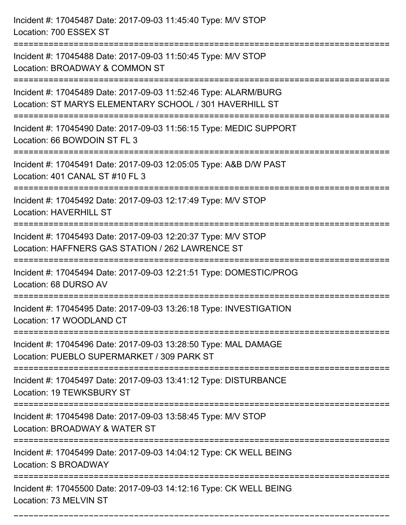Incident #: 17045487 Date: 2017-09-03 11:45:40 Type: M/V STOP Location: 700 ESSEX ST =========================================================================== Incident #: 17045488 Date: 2017-09-03 11:50:45 Type: M/V STOP Location: BROADWAY & COMMON ST =========================================================================== Incident #: 17045489 Date: 2017-09-03 11:52:46 Type: ALARM/BURG Location: ST MARYS ELEMENTARY SCHOOL / 301 HAVERHILL ST =========================================================================== Incident #: 17045490 Date: 2017-09-03 11:56:15 Type: MEDIC SUPPORT Location: 66 BOWDOIN ST FL 3 =========================================================================== Incident #: 17045491 Date: 2017-09-03 12:05:05 Type: A&B D/W PAST Location: 401 CANAL ST #10 FL 3 =========================================================================== Incident #: 17045492 Date: 2017-09-03 12:17:49 Type: M/V STOP Location: HAVERHILL ST =========================================================================== Incident #: 17045493 Date: 2017-09-03 12:20:37 Type: M/V STOP Location: HAFFNERS GAS STATION / 262 LAWRENCE ST =========================================================================== Incident #: 17045494 Date: 2017-09-03 12:21:51 Type: DOMESTIC/PROG Location: 68 DURSO AV =========================================================================== Incident #: 17045495 Date: 2017-09-03 13:26:18 Type: INVESTIGATION Location: 17 WOODLAND CT =========================================================================== Incident #: 17045496 Date: 2017-09-03 13:28:50 Type: MAL DAMAGE Location: PUEBLO SUPERMARKET / 309 PARK ST =========================================================================== Incident #: 17045497 Date: 2017-09-03 13:41:12 Type: DISTURBANCE Location: 19 TEWKSBURY ST =========================================================================== Incident #: 17045498 Date: 2017-09-03 13:58:45 Type: M/V STOP Location: BROADWAY & WATER ST =========================================================================== Incident #: 17045499 Date: 2017-09-03 14:04:12 Type: CK WELL BEING Location: S BROADWAY =========================================================================== Incident #: 17045500 Date: 2017-09-03 14:12:16 Type: CK WELL BEING Location: 73 MELVIN ST

===========================================================================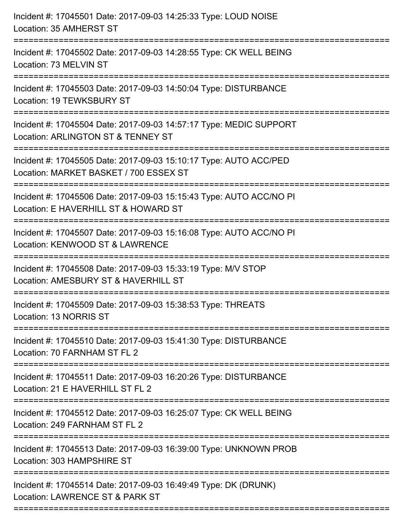| Incident #: 17045501 Date: 2017-09-03 14:25:33 Type: LOUD NOISE<br>Location: 35 AMHERST ST                                                    |
|-----------------------------------------------------------------------------------------------------------------------------------------------|
| Incident #: 17045502 Date: 2017-09-03 14:28:55 Type: CK WELL BEING<br>Location: 73 MELVIN ST                                                  |
| Incident #: 17045503 Date: 2017-09-03 14:50:04 Type: DISTURBANCE<br>Location: 19 TEWKSBURY ST<br>:====================================        |
| Incident #: 17045504 Date: 2017-09-03 14:57:17 Type: MEDIC SUPPORT<br>Location: ARLINGTON ST & TENNEY ST                                      |
| Incident #: 17045505 Date: 2017-09-03 15:10:17 Type: AUTO ACC/PED<br>Location: MARKET BASKET / 700 ESSEX ST                                   |
| Incident #: 17045506 Date: 2017-09-03 15:15:43 Type: AUTO ACC/NO PI<br>Location: E HAVERHILL ST & HOWARD ST<br>:============================= |
| Incident #: 17045507 Date: 2017-09-03 15:16:08 Type: AUTO ACC/NO PI<br>Location: KENWOOD ST & LAWRENCE                                        |
| Incident #: 17045508 Date: 2017-09-03 15:33:19 Type: M/V STOP<br>Location: AMESBURY ST & HAVERHILL ST                                         |
| Incident #: 17045509 Date: 2017-09-03 15:38:53 Type: THREATS<br>Location: 13 NORRIS ST                                                        |
| Incident #: 17045510 Date: 2017-09-03 15:41:30 Type: DISTURBANCE<br>Location: 70 FARNHAM ST FL 2                                              |
| Incident #: 17045511 Date: 2017-09-03 16:20:26 Type: DISTURBANCE<br>Location: 21 E HAVERHILL ST FL 2                                          |
| Incident #: 17045512 Date: 2017-09-03 16:25:07 Type: CK WELL BEING<br>Location: 249 FARNHAM ST FL 2                                           |
| Incident #: 17045513 Date: 2017-09-03 16:39:00 Type: UNKNOWN PROB<br>Location: 303 HAMPSHIRE ST                                               |
| Incident #: 17045514 Date: 2017-09-03 16:49:49 Type: DK (DRUNK)<br>Location: LAWRENCE ST & PARK ST                                            |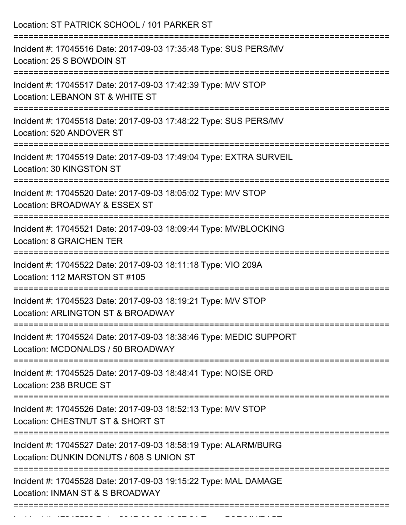Incident #: 17045529 Date: 2017 09 03 19:27:01 Type: B&E/MV/PAST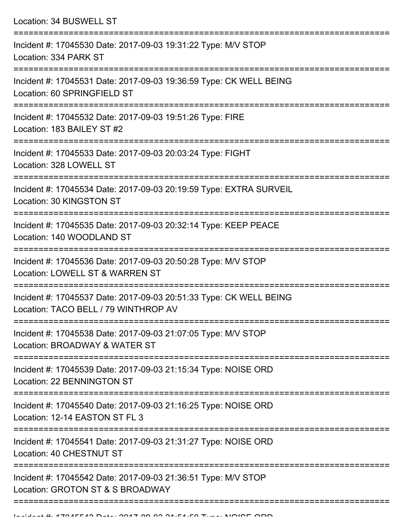| Location: 34 BUSWELL ST                                                                                                                |
|----------------------------------------------------------------------------------------------------------------------------------------|
| Incident #: 17045530 Date: 2017-09-03 19:31:22 Type: M/V STOP<br>Location: 334 PARK ST                                                 |
| Incident #: 17045531 Date: 2017-09-03 19:36:59 Type: CK WELL BEING<br>Location: 60 SPRINGFIELD ST                                      |
| Incident #: 17045532 Date: 2017-09-03 19:51:26 Type: FIRE<br>Location: 183 BAILEY ST #2                                                |
| Incident #: 17045533 Date: 2017-09-03 20:03:24 Type: FIGHT<br>Location: 328 LOWELL ST                                                  |
| Incident #: 17045534 Date: 2017-09-03 20:19:59 Type: EXTRA SURVEIL<br>Location: 30 KINGSTON ST                                         |
| Incident #: 17045535 Date: 2017-09-03 20:32:14 Type: KEEP PEACE<br>Location: 140 WOODLAND ST                                           |
| Incident #: 17045536 Date: 2017-09-03 20:50:28 Type: M/V STOP<br>Location: LOWELL ST & WARREN ST                                       |
| Incident #: 17045537 Date: 2017-09-03 20:51:33 Type: CK WELL BEING<br>Location: TACO BELL / 79 WINTHROP AV<br>======================== |
| Incident #: 17045538 Date: 2017-09-03 21:07:05 Type: M/V STOP<br>Location: BROADWAY & WATER ST                                         |
| Incident #: 17045539 Date: 2017-09-03 21:15:34 Type: NOISE ORD<br>Location: 22 BENNINGTON ST                                           |
| Incident #: 17045540 Date: 2017-09-03 21:16:25 Type: NOISE ORD<br>Location: 12-14 EASTON ST FL 3                                       |
| ======================<br>Incident #: 17045541 Date: 2017-09-03 21:31:27 Type: NOISE ORD<br>Location: 40 CHESTNUT ST                   |
| Incident #: 17045542 Date: 2017-09-03 21:36:51 Type: M/V STOP<br>Location: GROTON ST & S BROADWAY                                      |

===========================================================================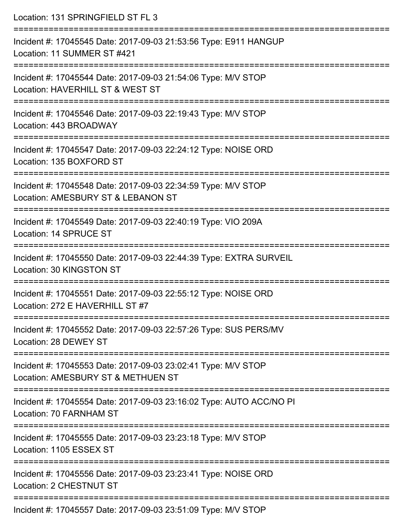| Location: 131 SPRINGFIELD ST FL 3                                                                   |
|-----------------------------------------------------------------------------------------------------|
| Incident #: 17045545 Date: 2017-09-03 21:53:56 Type: E911 HANGUP<br>Location: 11 SUMMER ST #421     |
| Incident #: 17045544 Date: 2017-09-03 21:54:06 Type: M/V STOP<br>Location: HAVERHILL ST & WEST ST   |
| Incident #: 17045546 Date: 2017-09-03 22:19:43 Type: M/V STOP<br>Location: 443 BROADWAY             |
| Incident #: 17045547 Date: 2017-09-03 22:24:12 Type: NOISE ORD<br>Location: 135 BOXFORD ST          |
| Incident #: 17045548 Date: 2017-09-03 22:34:59 Type: M/V STOP<br>Location: AMESBURY ST & LEBANON ST |
| Incident #: 17045549 Date: 2017-09-03 22:40:19 Type: VIO 209A<br>Location: 14 SPRUCE ST             |
| Incident #: 17045550 Date: 2017-09-03 22:44:39 Type: EXTRA SURVEIL<br>Location: 30 KINGSTON ST      |
| Incident #: 17045551 Date: 2017-09-03 22:55:12 Type: NOISE ORD<br>Location: 272 E HAVERHILL ST #7   |
| Incident #: 17045552 Date: 2017-09-03 22:57:26 Type: SUS PERS/MV<br>Location: 28 DEWEY ST           |
| Incident #: 17045553 Date: 2017-09-03 23:02:41 Type: M/V STOP<br>Location: AMESBURY ST & METHUEN ST |
| Incident #: 17045554 Date: 2017-09-03 23:16:02 Type: AUTO ACC/NO PI<br>Location: 70 FARNHAM ST      |
| Incident #: 17045555 Date: 2017-09-03 23:23:18 Type: M/V STOP<br>Location: 1105 ESSEX ST            |
| Incident #: 17045556 Date: 2017-09-03 23:23:41 Type: NOISE ORD<br><b>Location: 2 CHESTNUT ST</b>    |
| Incident #: 17045557 Date: 2017-09-03 23:51:09 Type: M/V STOP                                       |